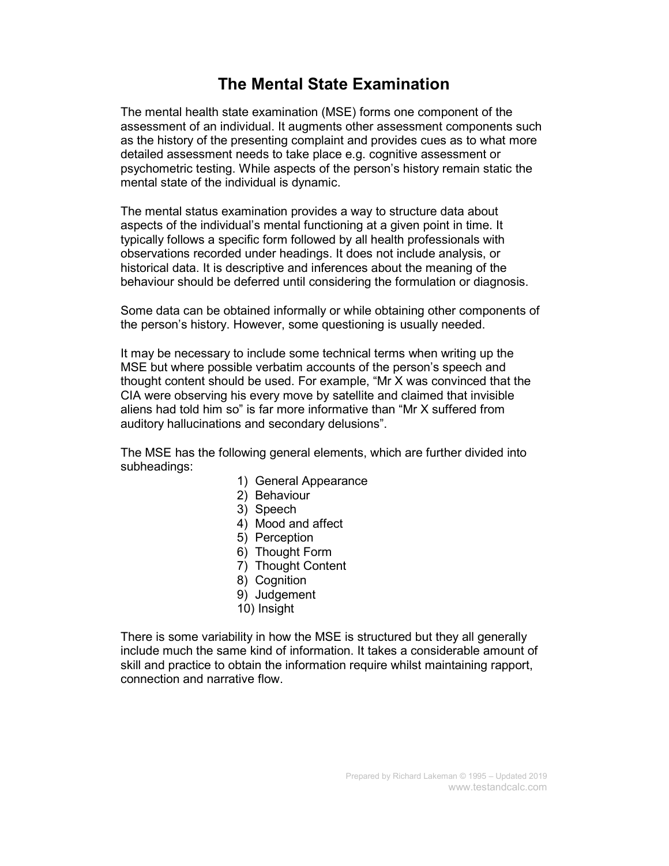#### The Mental State Examination

The mental health state examination (MSE) forms one component of the assessment of an individual. It augments other assessment components such as the history of the presenting complaint and provides cues as to what more detailed assessment needs to take place e.g. cognitive assessment or psychometric testing. While aspects of the person's history remain static the mental state of the individual is dynamic.

The mental status examination provides a way to structure data about aspects of the individual's mental functioning at a given point in time. It typically follows a specific form followed by all health professionals with observations recorded under headings. It does not include analysis, or historical data. It is descriptive and inferences about the meaning of the behaviour should be deferred until considering the formulation or diagnosis.

Some data can be obtained informally or while obtaining other components of the person's history. However, some questioning is usually needed.

It may be necessary to include some technical terms when writing up the MSE but where possible verbatim accounts of the person's speech and thought content should be used. For example, "Mr X was convinced that the CIA were observing his every move by satellite and claimed that invisible aliens had told him so" is far more informative than "Mr X suffered from auditory hallucinations and secondary delusions".

The MSE has the following general elements, which are further divided into subheadings:

- 1) General Appearance
- 2) Behaviour
- 3) Speech
- 4) Mood and affect
- 5) Perception
- 6) Thought Form
- 7) Thought Content
- 8) Cognition
- 9) Judgement
- 10) Insight

There is some variability in how the MSE is structured but they all generally include much the same kind of information. It takes a considerable amount of skill and practice to obtain the information require whilst maintaining rapport, connection and narrative flow.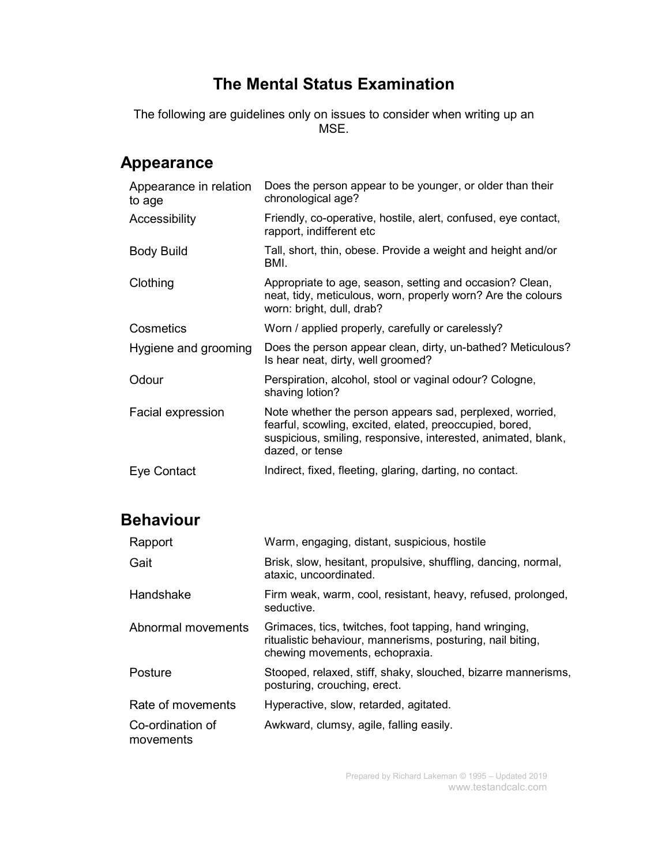#### The Mental Status Examination

The following are guidelines only on issues to consider when writing up an MSE.

## Appearance

| Appearance in relation<br>to age | Does the person appear to be younger, or older than their<br>chronological age?                                                                                                                         |
|----------------------------------|---------------------------------------------------------------------------------------------------------------------------------------------------------------------------------------------------------|
| Accessibility                    | Friendly, co-operative, hostile, alert, confused, eye contact,<br>rapport, indifferent etc                                                                                                              |
| <b>Body Build</b>                | Tall, short, thin, obese. Provide a weight and height and/or<br>BMI.                                                                                                                                    |
| Clothing                         | Appropriate to age, season, setting and occasion? Clean,<br>neat, tidy, meticulous, worn, properly worn? Are the colours<br>worn: bright, dull, drab?                                                   |
| Cosmetics                        | Worn / applied properly, carefully or carelessly?                                                                                                                                                       |
| Hygiene and grooming             | Does the person appear clean, dirty, un-bathed? Meticulous?<br>Is hear neat, dirty, well groomed?                                                                                                       |
| Odour                            | Perspiration, alcohol, stool or vaginal odour? Cologne,<br>shaving lotion?                                                                                                                              |
| Facial expression                | Note whether the person appears sad, perplexed, worried,<br>fearful, scowling, excited, elated, preoccupied, bored,<br>suspicious, smiling, responsive, interested, animated, blank,<br>dazed, or tense |
| Eye Contact                      | Indirect, fixed, fleeting, glaring, darting, no contact.                                                                                                                                                |

## Behaviour

| Rapport                       | Warm, engaging, distant, suspicious, hostile                                                                                                           |
|-------------------------------|--------------------------------------------------------------------------------------------------------------------------------------------------------|
| Gait                          | Brisk, slow, hesitant, propulsive, shuffling, dancing, normal,<br>ataxic, uncoordinated.                                                               |
| Handshake                     | Firm weak, warm, cool, resistant, heavy, refused, prolonged,<br>seductive.                                                                             |
| Abnormal movements            | Grimaces, tics, twitches, foot tapping, hand wringing,<br>ritualistic behaviour, mannerisms, posturing, nail biting,<br>chewing movements, echopraxia. |
| Posture                       | Stooped, relaxed, stiff, shaky, slouched, bizarre mannerisms,<br>posturing, crouching, erect.                                                          |
| Rate of movements             | Hyperactive, slow, retarded, agitated.                                                                                                                 |
| Co-ordination of<br>movements | Awkward, clumsy, agile, falling easily.                                                                                                                |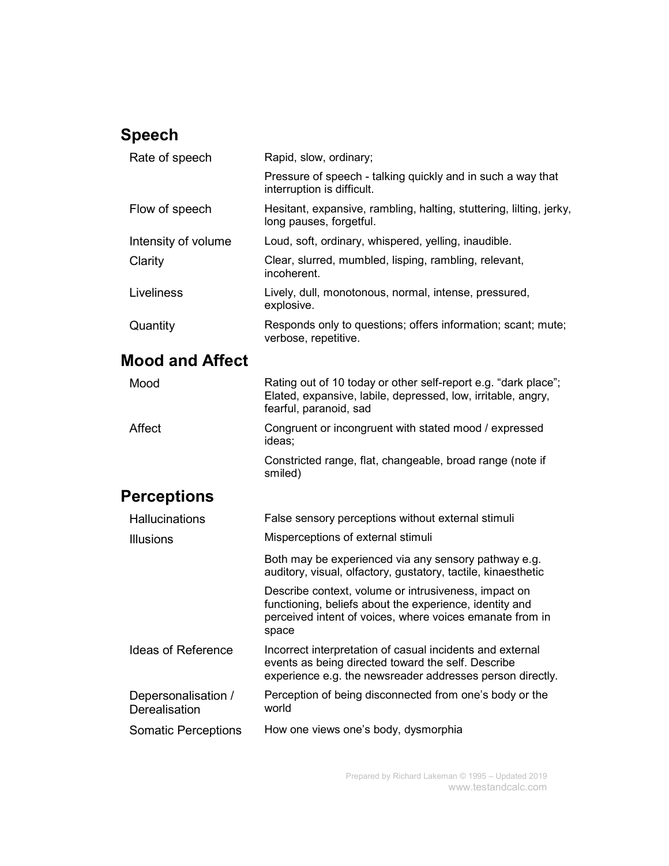## Speech

| Rate of speech         | Rapid, slow, ordinary;                                                                         |
|------------------------|------------------------------------------------------------------------------------------------|
|                        | Pressure of speech - talking quickly and in such a way that<br>interruption is difficult.      |
| Flow of speech         | Hesitant, expansive, rambling, halting, stuttering, lilting, jerky,<br>long pauses, forgetful. |
| Intensity of volume    | Loud, soft, ordinary, whispered, yelling, inaudible.                                           |
| Clarity                | Clear, slurred, mumbled, lisping, rambling, relevant,<br>incoherent.                           |
| Liveliness             | Lively, dull, monotonous, normal, intense, pressured,<br>explosive.                            |
| Quantity               | Responds only to questions; offers information; scant; mute;<br>verbose, repetitive.           |
| <b>Mood and Affect</b> |                                                                                                |
| Mood                   | Rating out of 10 today or other self-report e.g. "dark place";                                 |

Elated, expansive, labile, depressed, low, irritable, angry, fearful, paranoid, sad Affect Congruent or incongruent with stated mood / expressed ideas; Constricted range, flat, changeable, broad range (note if

smiled)

## **Perceptions**

| <b>Hallucinations</b>                | False sensory perceptions without external stimuli                                                                                                                                   |
|--------------------------------------|--------------------------------------------------------------------------------------------------------------------------------------------------------------------------------------|
| <b>Illusions</b>                     | Misperceptions of external stimuli                                                                                                                                                   |
|                                      | Both may be experienced via any sensory pathway e.g.<br>auditory, visual, olfactory, gustatory, tactile, kinaesthetic                                                                |
|                                      | Describe context, volume or intrusiveness, impact on<br>functioning, beliefs about the experience, identity and<br>perceived intent of voices, where voices emanate from in<br>space |
| <b>Ideas of Reference</b>            | Incorrect interpretation of casual incidents and external<br>events as being directed toward the self. Describe<br>experience e.g. the newsreader addresses person directly.         |
| Depersonalisation /<br>Derealisation | Perception of being disconnected from one's body or the<br>world                                                                                                                     |
| Somatic Perceptions                  | How one views one's body, dysmorphia                                                                                                                                                 |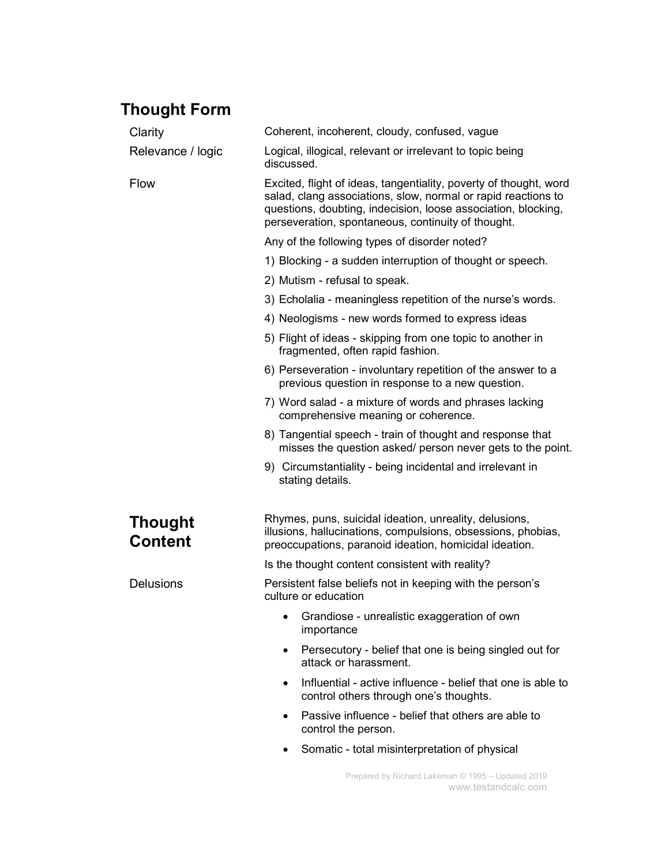## Thought Form

| Clarity                          | Coherent, incoherent, cloudy, confused, vague                                                                                                                                                                                                             |
|----------------------------------|-----------------------------------------------------------------------------------------------------------------------------------------------------------------------------------------------------------------------------------------------------------|
| Relevance / logic                | Logical, illogical, relevant or irrelevant to topic being<br>discussed.                                                                                                                                                                                   |
| <b>Flow</b>                      | Excited, flight of ideas, tangentiality, poverty of thought, word<br>salad, clang associations, slow, normal or rapid reactions to<br>questions, doubting, indecision, loose association, blocking,<br>perseveration, spontaneous, continuity of thought. |
|                                  | Any of the following types of disorder noted?                                                                                                                                                                                                             |
|                                  | 1) Blocking - a sudden interruption of thought or speech.                                                                                                                                                                                                 |
|                                  | 2) Mutism - refusal to speak.                                                                                                                                                                                                                             |
|                                  | 3) Echolalia - meaningless repetition of the nurse's words.                                                                                                                                                                                               |
|                                  | 4) Neologisms - new words formed to express ideas                                                                                                                                                                                                         |
|                                  | 5) Flight of ideas - skipping from one topic to another in<br>fragmented, often rapid fashion.                                                                                                                                                            |
|                                  | 6) Perseveration - involuntary repetition of the answer to a<br>previous question in response to a new question.                                                                                                                                          |
|                                  | 7) Word salad - a mixture of words and phrases lacking<br>comprehensive meaning or coherence.                                                                                                                                                             |
|                                  | 8) Tangential speech - train of thought and response that<br>misses the question asked/ person never gets to the point.                                                                                                                                   |
|                                  | 9) Circumstantiality - being incidental and irrelevant in<br>stating details.                                                                                                                                                                             |
| <b>Thought</b><br><b>Content</b> | Rhymes, puns, suicidal ideation, unreality, delusions,<br>illusions, hallucinations, compulsions, obsessions, phobias,<br>preoccupations, paranoid ideation, homicidal ideation.                                                                          |
|                                  | Is the thought content consistent with reality?                                                                                                                                                                                                           |
| <b>Delusions</b>                 | Persistent false beliefs not in keeping with the person's<br>culture or education                                                                                                                                                                         |
|                                  | Grandiose - unrealistic exaggeration of own<br>٠<br>importance                                                                                                                                                                                            |
|                                  | Persecutory - belief that one is being singled out for<br>$\bullet$<br>attack or harassment.                                                                                                                                                              |
|                                  | Influential - active influence - belief that one is able to<br>$\bullet$<br>control others through one's thoughts.                                                                                                                                        |
|                                  | Passive influence - belief that others are able to<br>$\bullet$<br>control the person.                                                                                                                                                                    |
|                                  | Somatic - total misinterpretation of physical<br>$\bullet$                                                                                                                                                                                                |